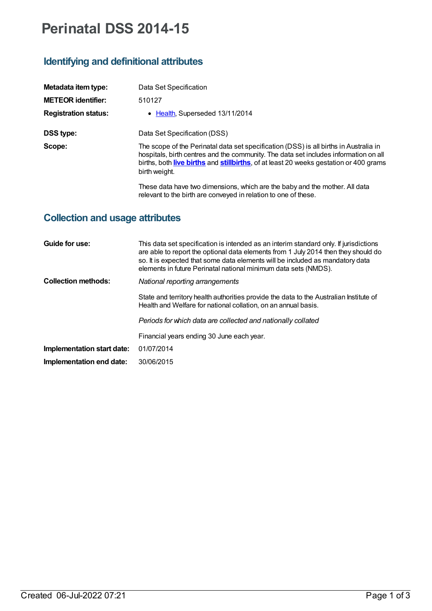## **Perinatal DSS 2014-15**

## **Identifying and definitional attributes**

| Metadata item type:         | Data Set Specification                                                                                                                                                                                                                                                                  |
|-----------------------------|-----------------------------------------------------------------------------------------------------------------------------------------------------------------------------------------------------------------------------------------------------------------------------------------|
| <b>METEOR identifier:</b>   | 510127                                                                                                                                                                                                                                                                                  |
| <b>Registration status:</b> | • Health, Superseded 13/11/2014                                                                                                                                                                                                                                                         |
| DSS type:                   | Data Set Specification (DSS)                                                                                                                                                                                                                                                            |
| Scope:                      | The scope of the Perinatal data set specification (DSS) is all births in Australia in<br>hospitals, birth centres and the community. The data set includes information on all<br>births, both live births and stillbirths, of at least 20 weeks gestation or 400 grams<br>birth weight. |
|                             | These data have two dimensions, which are the baby and the mother. All data                                                                                                                                                                                                             |

relevant to the birth are conveyed in relation to one of these.

## **Collection and usage attributes**

| Guide for use:             | This data set specification is intended as an interim standard only. If jurisdictions<br>are able to report the optional data elements from 1 July 2014 then they should do<br>so. It is expected that some data elements will be included as mandatory data<br>elements in future Perinatal national minimum data sets (NMDS). |
|----------------------------|---------------------------------------------------------------------------------------------------------------------------------------------------------------------------------------------------------------------------------------------------------------------------------------------------------------------------------|
| <b>Collection methods:</b> | National reporting arrangements                                                                                                                                                                                                                                                                                                 |
|                            | State and territory health authorities provide the data to the Australian Institute of<br>Health and Welfare for national collation, on an annual basis.                                                                                                                                                                        |
|                            | Periods for which data are collected and nationally collated                                                                                                                                                                                                                                                                    |
|                            | Financial years ending 30 June each year.                                                                                                                                                                                                                                                                                       |
| Implementation start date: | 01/07/2014                                                                                                                                                                                                                                                                                                                      |
| Implementation end date:   | 30/06/2015                                                                                                                                                                                                                                                                                                                      |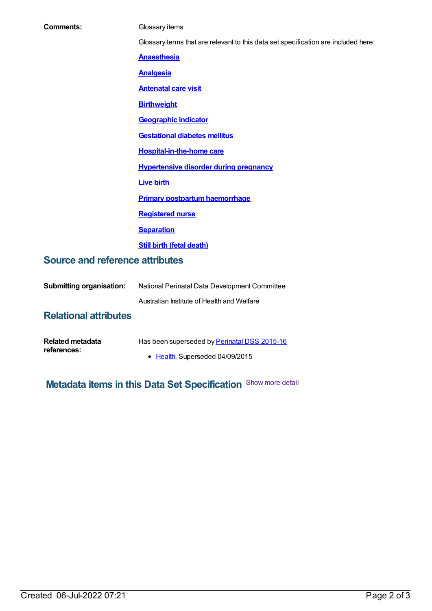| Glossary terms that are relevant to this data set specification are included here:<br><b>Anaesthesia</b><br><b>Analgesia</b><br><b>Antenatal care visit</b><br><b>Birthweight</b><br><b>Geographic indicator</b><br><b>Gestational diabetes mellitus</b><br><b>Hospital-in-the-home care</b><br><b>Hypertensive disorder during pregnancy</b><br><b>Live birth</b><br><b>Primary postpartum haemorrhage</b><br><b>Registered nurse</b><br><b>Separation</b><br><b>Still birth (fetal death)</b><br><b>Source and reference attributes</b><br><b>Submitting organisation:</b><br>National Perinatal Data Development Committee<br>Australian Institute of Health and Welfare<br><b>Relational attributes</b> | <b>Comments:</b> | Glossary items |
|-------------------------------------------------------------------------------------------------------------------------------------------------------------------------------------------------------------------------------------------------------------------------------------------------------------------------------------------------------------------------------------------------------------------------------------------------------------------------------------------------------------------------------------------------------------------------------------------------------------------------------------------------------------------------------------------------------------|------------------|----------------|
|                                                                                                                                                                                                                                                                                                                                                                                                                                                                                                                                                                                                                                                                                                             |                  |                |
|                                                                                                                                                                                                                                                                                                                                                                                                                                                                                                                                                                                                                                                                                                             |                  |                |
|                                                                                                                                                                                                                                                                                                                                                                                                                                                                                                                                                                                                                                                                                                             |                  |                |
|                                                                                                                                                                                                                                                                                                                                                                                                                                                                                                                                                                                                                                                                                                             |                  |                |
|                                                                                                                                                                                                                                                                                                                                                                                                                                                                                                                                                                                                                                                                                                             |                  |                |
|                                                                                                                                                                                                                                                                                                                                                                                                                                                                                                                                                                                                                                                                                                             |                  |                |
|                                                                                                                                                                                                                                                                                                                                                                                                                                                                                                                                                                                                                                                                                                             |                  |                |
|                                                                                                                                                                                                                                                                                                                                                                                                                                                                                                                                                                                                                                                                                                             |                  |                |
|                                                                                                                                                                                                                                                                                                                                                                                                                                                                                                                                                                                                                                                                                                             |                  |                |
|                                                                                                                                                                                                                                                                                                                                                                                                                                                                                                                                                                                                                                                                                                             |                  |                |
|                                                                                                                                                                                                                                                                                                                                                                                                                                                                                                                                                                                                                                                                                                             |                  |                |
|                                                                                                                                                                                                                                                                                                                                                                                                                                                                                                                                                                                                                                                                                                             |                  |                |
|                                                                                                                                                                                                                                                                                                                                                                                                                                                                                                                                                                                                                                                                                                             |                  |                |
|                                                                                                                                                                                                                                                                                                                                                                                                                                                                                                                                                                                                                                                                                                             |                  |                |
|                                                                                                                                                                                                                                                                                                                                                                                                                                                                                                                                                                                                                                                                                                             |                  |                |
|                                                                                                                                                                                                                                                                                                                                                                                                                                                                                                                                                                                                                                                                                                             |                  |                |
|                                                                                                                                                                                                                                                                                                                                                                                                                                                                                                                                                                                                                                                                                                             |                  |                |
|                                                                                                                                                                                                                                                                                                                                                                                                                                                                                                                                                                                                                                                                                                             |                  |                |
|                                                                                                                                                                                                                                                                                                                                                                                                                                                                                                                                                                                                                                                                                                             |                  |                |

| Related metadata | Has been superseded by Perinatal DSS 2015-16 |
|------------------|----------------------------------------------|
| references:      | • Health, Superseded 04/09/2015              |

**Metadata items in this Data Set Specification** Show more detail